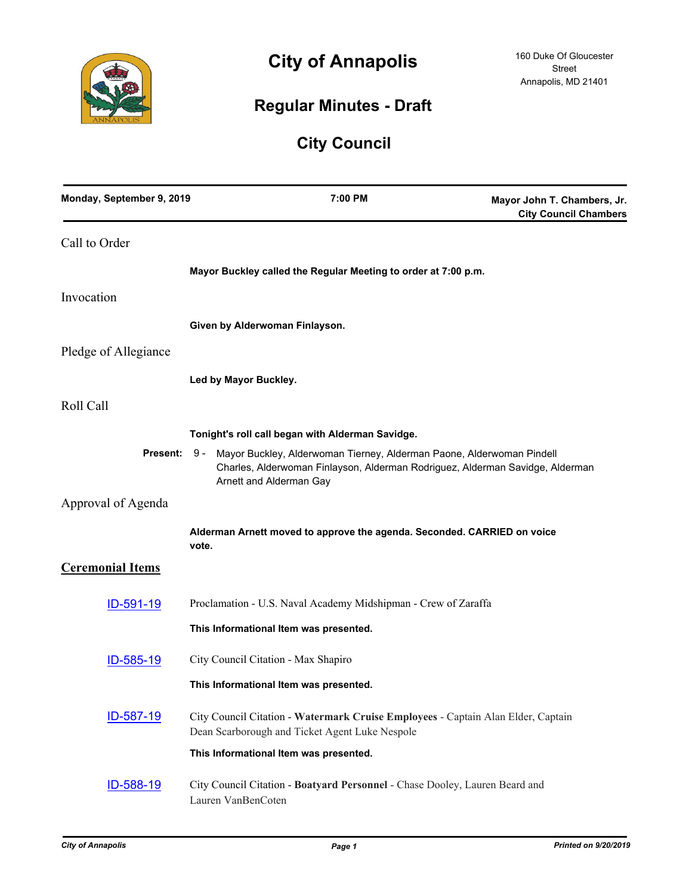

# **City of Annapolis**

# **Regular Minutes - Draft**

# **City Council**

| Monday, September 9, 2019 | 7:00 PM                                                                                                                                                                           | Mayor John T. Chambers, Jr.<br><b>City Council Chambers</b> |
|---------------------------|-----------------------------------------------------------------------------------------------------------------------------------------------------------------------------------|-------------------------------------------------------------|
| Call to Order             |                                                                                                                                                                                   |                                                             |
|                           | Mayor Buckley called the Regular Meeting to order at 7:00 p.m.                                                                                                                    |                                                             |
| Invocation                |                                                                                                                                                                                   |                                                             |
|                           | Given by Alderwoman Finlayson.                                                                                                                                                    |                                                             |
| Pledge of Allegiance      |                                                                                                                                                                                   |                                                             |
|                           | Led by Mayor Buckley.                                                                                                                                                             |                                                             |
| Roll Call                 |                                                                                                                                                                                   |                                                             |
|                           | Tonight's roll call began with Alderman Savidge.                                                                                                                                  |                                                             |
| Present: 9 -              | Mayor Buckley, Alderwoman Tierney, Alderman Paone, Alderwoman Pindell<br>Charles, Alderwoman Finlayson, Alderman Rodriguez, Alderman Savidge, Alderman<br>Arnett and Alderman Gay |                                                             |
| Approval of Agenda        |                                                                                                                                                                                   |                                                             |
|                           | Alderman Arnett moved to approve the agenda. Seconded. CARRIED on voice<br>vote.                                                                                                  |                                                             |
| <b>Ceremonial Items</b>   |                                                                                                                                                                                   |                                                             |
| ID-591-19                 | Proclamation - U.S. Naval Academy Midshipman - Crew of Zaraffa                                                                                                                    |                                                             |
|                           | This Informational Item was presented.                                                                                                                                            |                                                             |
| ID-585-19                 | City Council Citation - Max Shapiro                                                                                                                                               |                                                             |
|                           | This Informational Item was presented.                                                                                                                                            |                                                             |
| ID-587-19                 | City Council Citation - Watermark Cruise Employees - Captain Alan Elder, Captain<br>Dean Scarborough and Ticket Agent Luke Nespole                                                |                                                             |
|                           | This Informational Item was presented.                                                                                                                                            |                                                             |
| ID-588-19                 | City Council Citation - Boatyard Personnel - Chase Dooley, Lauren Beard and<br>Lauren VanBenCoten                                                                                 |                                                             |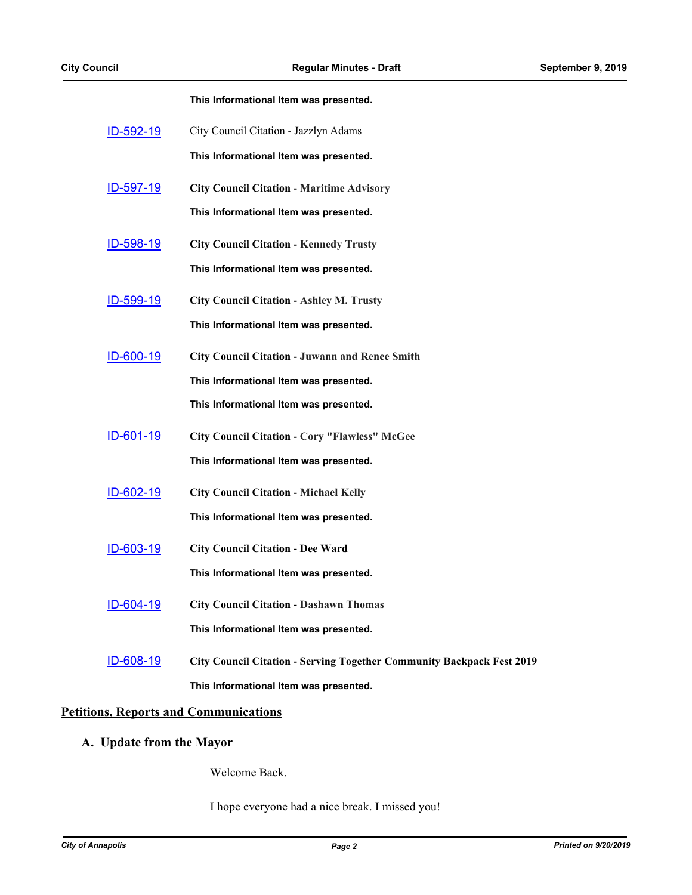|                  | This Informational Item was presented.                                       |
|------------------|------------------------------------------------------------------------------|
| ID-592-19        | City Council Citation - Jazzlyn Adams                                        |
|                  | This Informational Item was presented.                                       |
| <u>ID-597-19</u> | <b>City Council Citation - Maritime Advisory</b>                             |
|                  | This Informational Item was presented.                                       |
| ID-598-19        | <b>City Council Citation - Kennedy Trusty</b>                                |
|                  | This Informational Item was presented.                                       |
| <u>ID-599-19</u> | <b>City Council Citation - Ashley M. Trusty</b>                              |
|                  | This Informational Item was presented.                                       |
| <u>ID-600-19</u> | <b>City Council Citation - Juwann and Renee Smith</b>                        |
|                  | This Informational Item was presented.                                       |
|                  | This Informational Item was presented.                                       |
| <u>ID-601-19</u> | <b>City Council Citation - Cory "Flawless" McGee</b>                         |
|                  | This Informational Item was presented.                                       |
| ID-602-19        | <b>City Council Citation - Michael Kelly</b>                                 |
|                  | This Informational Item was presented.                                       |
| <u>ID-603-19</u> | <b>City Council Citation - Dee Ward</b>                                      |
|                  | This Informational Item was presented.                                       |
| ID-604-19        | <b>City Council Citation - Dashawn Thomas</b>                                |
|                  | This Informational Item was presented.                                       |
| ID-608-19        | <b>City Council Citation - Serving Together Community Backpack Fest 2019</b> |
|                  | This Informational Item was presented.                                       |

# **Petitions, Reports and Communications**

# **A. Update from the Mayor**

Welcome Back.

I hope everyone had a nice break. I missed you!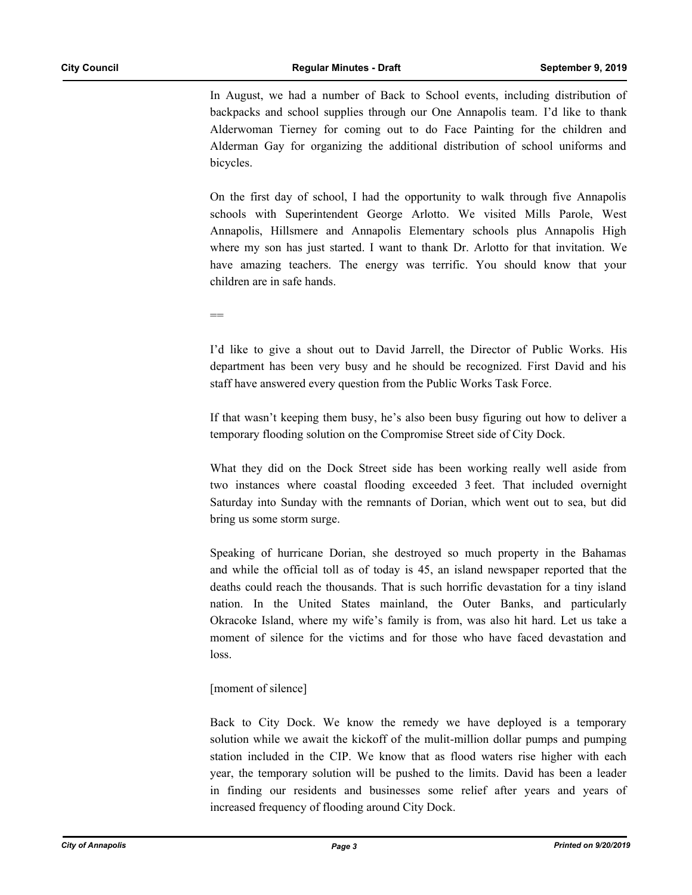In August, we had a number of Back to School events, including distribution of backpacks and school supplies through our One Annapolis team. I'd like to thank Alderwoman Tierney for coming out to do Face Painting for the children and Alderman Gay for organizing the additional distribution of school uniforms and bicycles.

On the first day of school, I had the opportunity to walk through five Annapolis schools with Superintendent George Arlotto. We visited Mills Parole, West Annapolis, Hillsmere and Annapolis Elementary schools plus Annapolis High where my son has just started. I want to thank Dr. Arlotto for that invitation. We have amazing teachers. The energy was terrific. You should know that your children are in safe hands.

 $-$ 

I'd like to give a shout out to David Jarrell, the Director of Public Works. His department has been very busy and he should be recognized. First David and his staff have answered every question from the Public Works Task Force.

If that wasn't keeping them busy, he's also been busy figuring out how to deliver a temporary flooding solution on the Compromise Street side of City Dock.

What they did on the Dock Street side has been working really well aside from two instances where coastal flooding exceeded 3 feet. That included overnight Saturday into Sunday with the remnants of Dorian, which went out to sea, but did bring us some storm surge.

Speaking of hurricane Dorian, she destroyed so much property in the Bahamas and while the official toll as of today is 45, an island newspaper reported that the deaths could reach the thousands. That is such horrific devastation for a tiny island nation. In the United States mainland, the Outer Banks, and particularly Okracoke Island, where my wife's family is from, was also hit hard. Let us take a moment of silence for the victims and for those who have faced devastation and loss.

# [moment of silence]

Back to City Dock. We know the remedy we have deployed is a temporary solution while we await the kickoff of the mulit-million dollar pumps and pumping station included in the CIP. We know that as flood waters rise higher with each year, the temporary solution will be pushed to the limits. David has been a leader in finding our residents and businesses some relief after years and years of increased frequency of flooding around City Dock.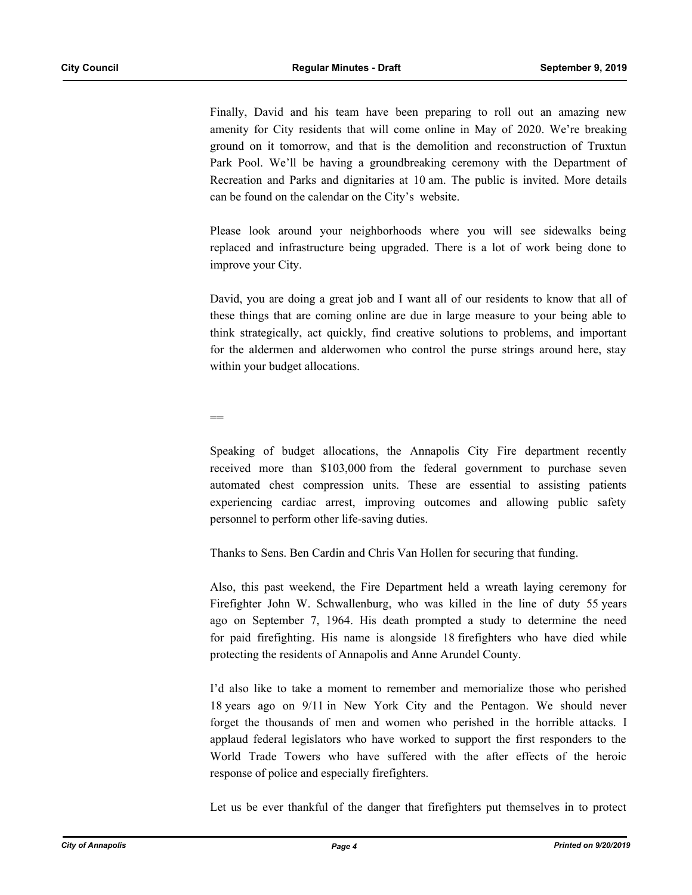Finally, David and his team have been preparing to roll out an amazing new amenity for City residents that will come online in May of 2020. We're breaking ground on it tomorrow, and that is the demolition and reconstruction of Truxtun Park Pool. We'll be having a groundbreaking ceremony with the Department of Recreation and Parks and dignitaries at 10 am. The public is invited. More details can be found on the calendar on the City's website.

Please look around your neighborhoods where you will see sidewalks being replaced and infrastructure being upgraded. There is a lot of work being done to improve your City.

David, you are doing a great job and I want all of our residents to know that all of these things that are coming online are due in large measure to your being able to think strategically, act quickly, find creative solutions to problems, and important for the aldermen and alderwomen who control the purse strings around here, stay within your budget allocations.

 $-$ 

Speaking of budget allocations, the Annapolis City Fire department recently received more than \$103,000 from the federal government to purchase seven automated chest compression units. These are essential to assisting patients experiencing cardiac arrest, improving outcomes and allowing public safety personnel to perform other life-saving duties.

Thanks to Sens. Ben Cardin and Chris Van Hollen for securing that funding.

Also, this past weekend, the Fire Department held a wreath laying ceremony for Firefighter John W. Schwallenburg, who was killed in the line of duty 55 years ago on September 7, 1964. His death prompted a study to determine the need for paid firefighting. His name is alongside 18 firefighters who have died while protecting the residents of Annapolis and Anne Arundel County.

I'd also like to take a moment to remember and memorialize those who perished 18 years ago on 9/11 in New York City and the Pentagon. We should never forget the thousands of men and women who perished in the horrible attacks. I applaud federal legislators who have worked to support the first responders to the World Trade Towers who have suffered with the after effects of the heroic response of police and especially firefighters.

Let us be ever thankful of the danger that firefighters put themselves in to protect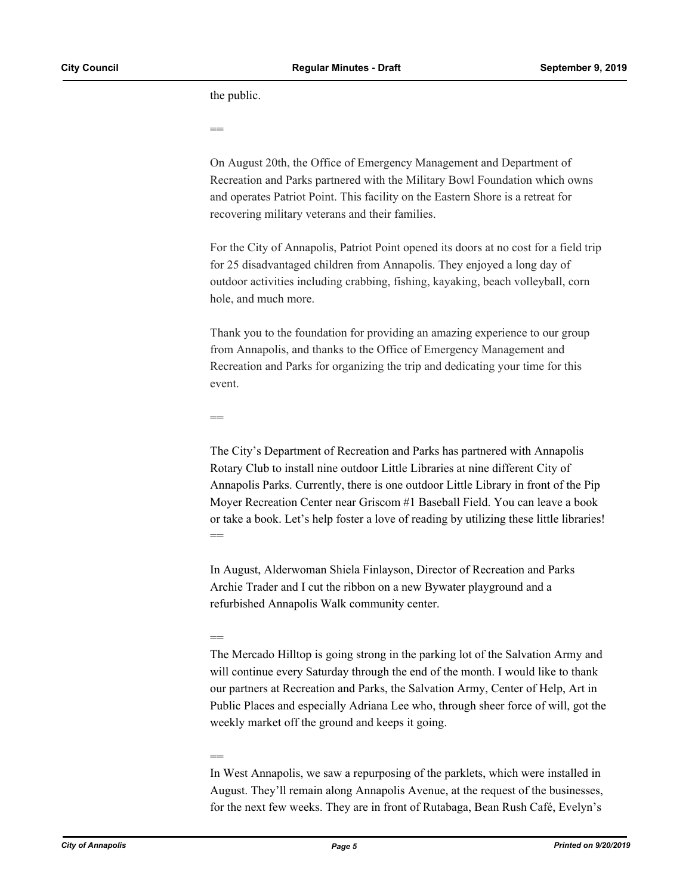the public.

==

On August 20th, the Office of Emergency Management and Department of Recreation and Parks partnered with the Military Bowl Foundation which owns and operates Patriot Point. This facility on the Eastern Shore is a retreat for recovering military veterans and their families.

For the City of Annapolis, Patriot Point opened its doors at no cost for a field trip for 25 disadvantaged children from Annapolis. They enjoyed a long day of outdoor activities including crabbing, fishing, kayaking, beach volleyball, corn hole, and much more.

Thank you to the foundation for providing an amazing experience to our group from Annapolis, and thanks to the Office of Emergency Management and Recreation and Parks for organizing the trip and dedicating your time for this event.

==

The City's Department of Recreation and Parks has partnered with Annapolis Rotary Club to install nine outdoor Little Libraries at nine different City of Annapolis Parks. Currently, there is one outdoor Little Library in front of the Pip Moyer Recreation Center near Griscom #1 Baseball Field. You can leave a book or take a book. Let's help foster a love of reading by utilizing these little libraries!  $-$ 

In August, Alderwoman Shiela Finlayson, Director of Recreation and Parks Archie Trader and I cut the ribbon on a new Bywater playground and a refurbished Annapolis Walk community center.

#### ==

The Mercado Hilltop is going strong in the parking lot of the Salvation Army and will continue every Saturday through the end of the month. I would like to thank our partners at Recreation and Parks, the Salvation Army, Center of Help, Art in Public Places and especially Adriana Lee who, through sheer force of will, got the weekly market off the ground and keeps it going.

# ==

In West Annapolis, we saw a repurposing of the parklets, which were installed in August. They'll remain along Annapolis Avenue, at the request of the businesses, for the next few weeks. They are in front of Rutabaga, Bean Rush Café, Evelyn's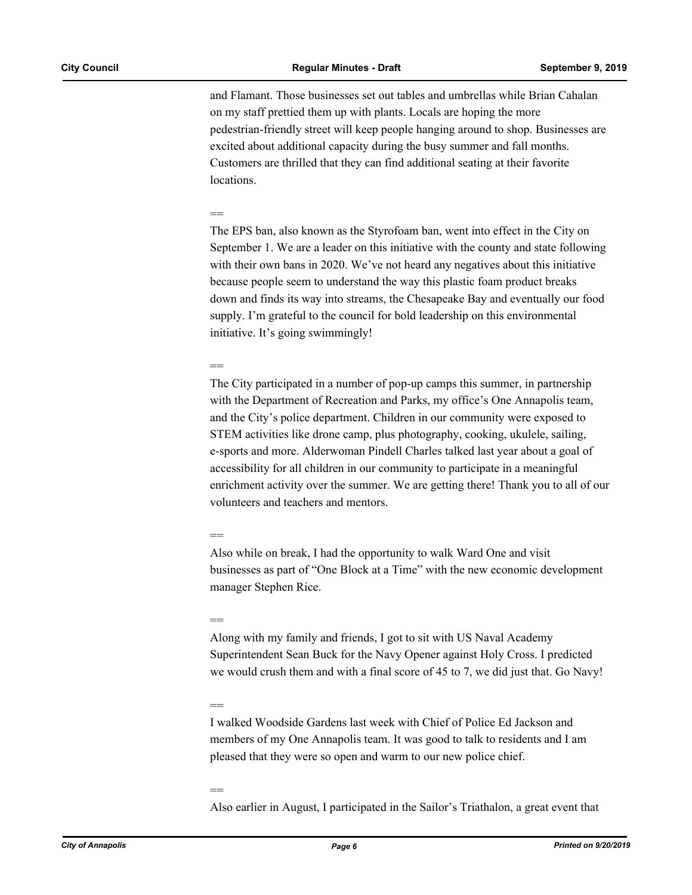and Flamant. Those businesses set out tables and umbrellas while Brian Cahalan on my staff prettied them up with plants. Locals are hoping the more pedestrian-friendly street will keep people hanging around to shop. Businesses are excited about additional capacity during the busy summer and fall months. Customers are thrilled that they can find additional seating at their favorite locations.

#### ==

The EPS ban, also known as the Styrofoam ban, went into effect in the City on September 1. We are a leader on this initiative with the county and state following with their own bans in 2020. We've not heard any negatives about this initiative because people seem to understand the way this plastic foam product breaks down and finds its way into streams, the Chesapeake Bay and eventually our food supply. I'm grateful to the council for bold leadership on this environmental initiative. It's going swimmingly!

#### $-$

The City participated in a number of pop-up camps this summer, in partnership with the Department of Recreation and Parks, my office's One Annapolis team, and the City's police department. Children in our community were exposed to STEM activities like drone camp, plus photography, cooking, ukulele, sailing, e-sports and more. Alderwoman Pindell Charles talked last year about a goal of accessibility for all children in our community to participate in a meaningful enrichment activity over the summer. We are getting there! Thank you to all of our volunteers and teachers and mentors.

#### ==

Also while on break, I had the opportunity to walk Ward One and visit businesses as part of "One Block at a Time" with the new economic development manager Stephen Rice.

#### ==

Along with my family and friends, I got to sit with US Naval Academy Superintendent Sean Buck for the Navy Opener against Holy Cross. I predicted we would crush them and with a final score of 45 to 7, we did just that. Go Navy!

#### ==

I walked Woodside Gardens last week with Chief of Police Ed Jackson and members of my One Annapolis team. It was good to talk to residents and I am pleased that they were so open and warm to our new police chief.

#### ==

Also earlier in August, I participated in the Sailor's Triathalon, a great event that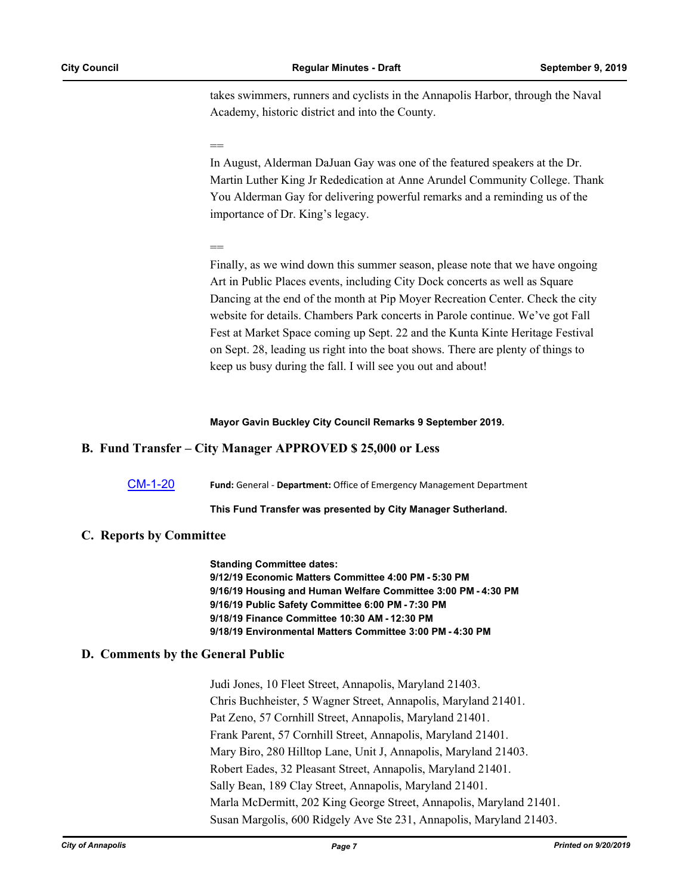takes swimmers, runners and cyclists in the Annapolis Harbor, through the Naval Academy, historic district and into the County.

#### ==

In August, Alderman DaJuan Gay was one of the featured speakers at the Dr. Martin Luther King Jr Rededication at Anne Arundel Community College. Thank You Alderman Gay for delivering powerful remarks and a reminding us of the importance of Dr. King's legacy.

#### ==

Finally, as we wind down this summer season, please note that we have ongoing Art in Public Places events, including City Dock concerts as well as Square Dancing at the end of the month at Pip Moyer Recreation Center. Check the city website for details. Chambers Park concerts in Parole continue. We've got Fall Fest at Market Space coming up Sept. 22 and the Kunta Kinte Heritage Festival on Sept. 28, leading us right into the boat shows. There are plenty of things to keep us busy during the fall. I will see you out and about!

#### **Mayor Gavin Buckley City Council Remarks 9 September 2019.**

# **B. Fund Transfer – City Manager APPROVED \$ 25,000 or Less**

[CM-1-20](http://annapolismd.legistar.com/gateway.aspx?m=l&id=/matter.aspx?key=4383) **Fund:** General - **Department:** Office of Emergency Management Department

#### **This Fund Transfer was presented by City Manager Sutherland.**

#### **C. Reports by Committee**

**Standing Committee dates: 9/12/19 Economic Matters Committee 4:00 PM - 5:30 PM 9/16/19 Housing and Human Welfare Committee 3:00 PM - 4:30 PM 9/16/19 Public Safety Committee 6:00 PM - 7:30 PM 9/18/19 Finance Committee 10:30 AM - 12:30 PM 9/18/19 Environmental Matters Committee 3:00 PM - 4:30 PM**

# **D. Comments by the General Public**

Judi Jones, 10 Fleet Street, Annapolis, Maryland 21403. Chris Buchheister, 5 Wagner Street, Annapolis, Maryland 21401. Pat Zeno, 57 Cornhill Street, Annapolis, Maryland 21401. Frank Parent, 57 Cornhill Street, Annapolis, Maryland 21401. Mary Biro, 280 Hilltop Lane, Unit J, Annapolis, Maryland 21403. Robert Eades, 32 Pleasant Street, Annapolis, Maryland 21401. Sally Bean, 189 Clay Street, Annapolis, Maryland 21401. Marla McDermitt, 202 King George Street, Annapolis, Maryland 21401. Susan Margolis, 600 Ridgely Ave Ste 231, Annapolis, Maryland 21403.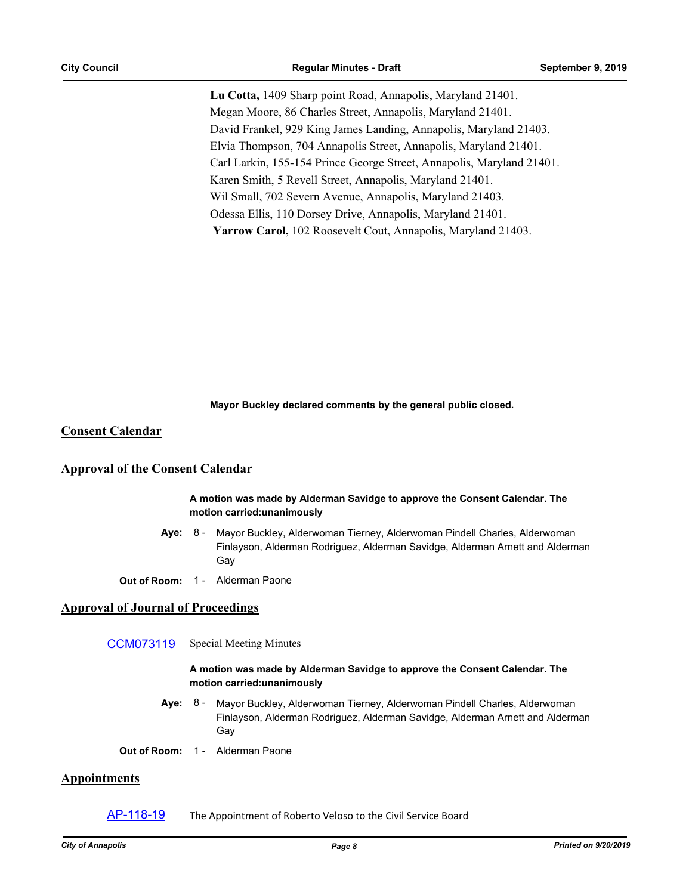**Lu Cotta,** 1409 Sharp point Road, Annapolis, Maryland 21401. Megan Moore, 86 Charles Street, Annapolis, Maryland 21401. David Frankel, 929 King James Landing, Annapolis, Maryland 21403. Elvia Thompson, 704 Annapolis Street, Annapolis, Maryland 21401. Carl Larkin, 155-154 Prince George Street, Annapolis, Maryland 21401. Karen Smith, 5 Revell Street, Annapolis, Maryland 21401. Wil Small, 702 Severn Avenue, Annapolis, Maryland 21403. Odessa Ellis, 110 Dorsey Drive, Annapolis, Maryland 21401.  **Yarrow Carol,** 102 Roosevelt Cout, Annapolis, Maryland 21403.

**Mayor Buckley declared comments by the general public closed.**

#### **Consent Calendar**

#### **Approval of the Consent Calendar**

#### **A motion was made by Alderman Savidge to approve the Consent Calendar. The motion carried:unanimously**

- **Aye:** Mayor Buckley, Alderwoman Tierney, Alderwoman Pindell Charles, Alderwoman Finlayson, Alderman Rodriguez, Alderman Savidge, Alderman Arnett and Alderman Gay Aye: 8 -
- **Out of Room:** 1 Alderman Paone

#### **Approval of Journal of Proceedings**

[CCM073119](http://annapolismd.legistar.com/gateway.aspx?m=l&id=/matter.aspx?key=4412) Special Meeting Minutes

#### **A motion was made by Alderman Savidge to approve the Consent Calendar. The motion carried:unanimously**

- **Aye:** Mayor Buckley, Alderwoman Tierney, Alderwoman Pindell Charles, Alderwoman Finlayson, Alderman Rodriguez, Alderman Savidge, Alderman Arnett and Alderman Gay Aye: 8 -
- **Out of Room:** 1 Alderman Paone

# **Appointments**

[AP-118-19](http://annapolismd.legistar.com/gateway.aspx?m=l&id=/matter.aspx?key=4349) The Appointment of Roberto Veloso to the Civil Service Board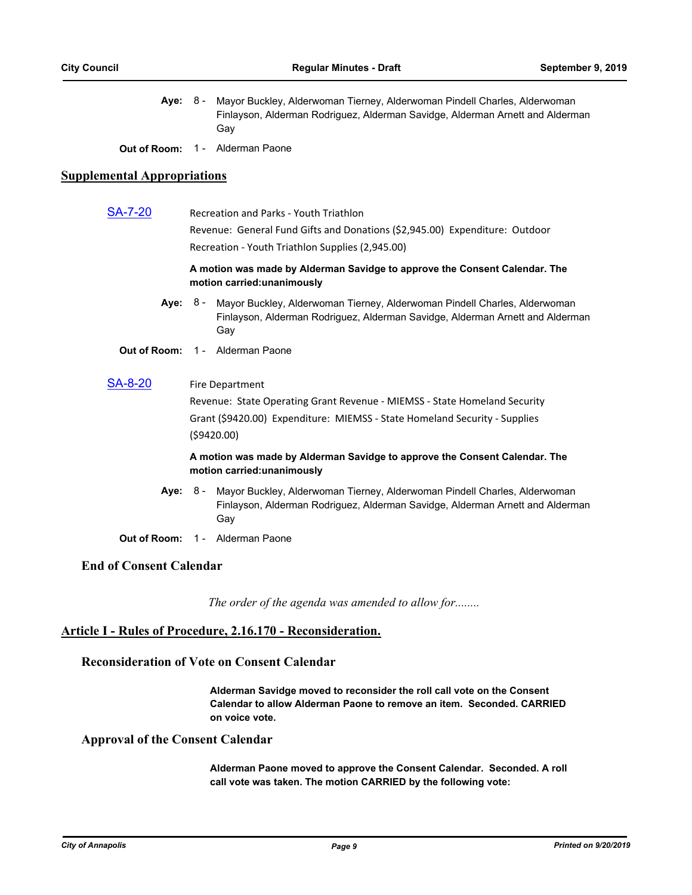**Aye:** Mayor Buckley, Alderwoman Tierney, Alderwoman Pindell Charles, Alderwoman Finlayson, Alderman Rodriguez, Alderman Savidge, Alderman Arnett and Alderman Gay Aye:  $8 -$ 

**Out of Room:** 1 - Alderman Paone

# **Supplemental Appropriations**

| <u>SA-7-20</u>                 | <b>Recreation and Parks - Youth Triathlon</b>                                                             |                                                                                                                                                                            |  |
|--------------------------------|-----------------------------------------------------------------------------------------------------------|----------------------------------------------------------------------------------------------------------------------------------------------------------------------------|--|
|                                | Revenue: General Fund Gifts and Donations (\$2,945.00) Expenditure: Outdoor                               |                                                                                                                                                                            |  |
|                                | Recreation - Youth Triathlon Supplies (2,945.00)                                                          |                                                                                                                                                                            |  |
|                                | A motion was made by Alderman Savidge to approve the Consent Calendar. The<br>motion carried: unanimously |                                                                                                                                                                            |  |
|                                |                                                                                                           | Aye: 8 - Mayor Buckley, Alderwoman Tierney, Alderwoman Pindell Charles, Alderwoman<br>Finlayson, Alderman Rodriguez, Alderman Savidge, Alderman Arnett and Alderman<br>Gay |  |
|                                |                                                                                                           | Out of Room: 1 - Alderman Paone                                                                                                                                            |  |
| SA-8-20                        |                                                                                                           | <b>Fire Department</b>                                                                                                                                                     |  |
|                                | Revenue: State Operating Grant Revenue - MIEMSS - State Homeland Security                                 |                                                                                                                                                                            |  |
|                                | Grant (\$9420.00) Expenditure: MIEMSS - State Homeland Security - Supplies<br>(59420.00)                  |                                                                                                                                                                            |  |
|                                | A motion was made by Alderman Savidge to approve the Consent Calendar. The<br>motion carried: unanimously |                                                                                                                                                                            |  |
| Ave:                           |                                                                                                           | 8 - Mayor Buckley, Alderwoman Tierney, Alderwoman Pindell Charles, Alderwoman<br>Finlayson, Alderman Rodriguez, Alderman Savidge, Alderman Arnett and Alderman<br>Gay      |  |
|                                |                                                                                                           | Out of Room: 1 - Alderman Paone                                                                                                                                            |  |
| <b>End of Consent Calendar</b> |                                                                                                           |                                                                                                                                                                            |  |

*The order of the agenda was amended to allow for........*

# **Article I - Rules of Procedure, 2.16.170 - Reconsideration.**

# **Reconsideration of Vote on Consent Calendar**

**Alderman Savidge moved to reconsider the roll call vote on the Consent Calendar to allow Alderman Paone to remove an item. Seconded. CARRIED on voice vote.**

# **Approval of the Consent Calendar**

**Alderman Paone moved to approve the Consent Calendar. Seconded. A roll call vote was taken. The motion CARRIED by the following vote:**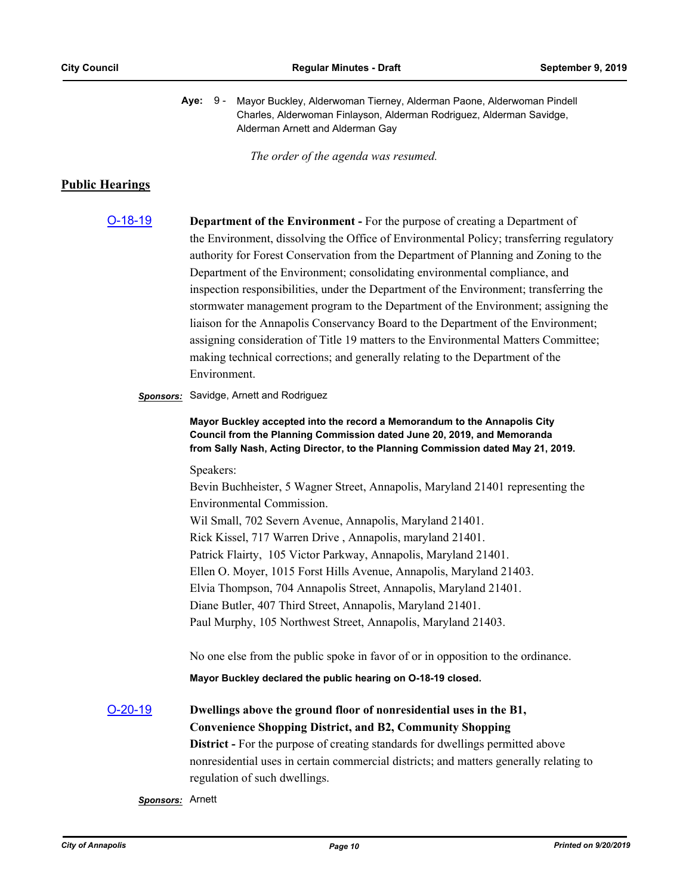|  | Aye: 9 - Mayor Buckley, Alderwoman Tierney, Alderman Paone, Alderwoman Pindell |
|--|--------------------------------------------------------------------------------|
|  | Charles, Alderwoman Finlayson, Alderman Rodriguez, Alderman Savidge,           |
|  | Alderman Arnett and Alderman Gay                                               |

*The order of the agenda was resumed.*

# **Public Hearings**

[O-18-19](http://annapolismd.legistar.com/gateway.aspx?m=l&id=/matter.aspx?key=4169) **Department of the Environment -** For the purpose of creating a Department of the Environment, dissolving the Office of Environmental Policy; transferring regulatory authority for Forest Conservation from the Department of Planning and Zoning to the Department of the Environment; consolidating environmental compliance, and inspection responsibilities, under the Department of the Environment; transferring the stormwater management program to the Department of the Environment; assigning the liaison for the Annapolis Conservancy Board to the Department of the Environment; assigning consideration of Title 19 matters to the Environmental Matters Committee; making technical corrections; and generally relating to the Department of the Environment.

#### *Sponsors:* Savidge, Arnett and Rodriguez

**Mayor Buckley accepted into the record a Memorandum to the Annapolis City Council from the Planning Commission dated June 20, 2019, and Memoranda from Sally Nash, Acting Director, to the Planning Commission dated May 21, 2019.**

Speakers:

Bevin Buchheister, 5 Wagner Street, Annapolis, Maryland 21401 representing the Environmental Commission.

Wil Small, 702 Severn Avenue, Annapolis, Maryland 21401.

Rick Kissel, 717 Warren Drive , Annapolis, maryland 21401.

Patrick Flairty, 105 Victor Parkway, Annapolis, Maryland 21401.

Ellen O. Moyer, 1015 Forst Hills Avenue, Annapolis, Maryland 21403.

Elvia Thompson, 704 Annapolis Street, Annapolis, Maryland 21401.

Diane Butler, 407 Third Street, Annapolis, Maryland 21401.

Paul Murphy, 105 Northwest Street, Annapolis, Maryland 21403.

No one else from the public spoke in favor of or in opposition to the ordinance.

**Mayor Buckley declared the public hearing on O-18-19 closed.**

[O-20-19](http://annapolismd.legistar.com/gateway.aspx?m=l&id=/matter.aspx?key=4220) **Dwellings above the ground floor of nonresidential uses in the B1, Convenience Shopping District, and B2, Community Shopping District -** For the purpose of creating standards for dwellings permitted above nonresidential uses in certain commercial districts; and matters generally relating to regulation of such dwellings.

*Sponsors:* Arnett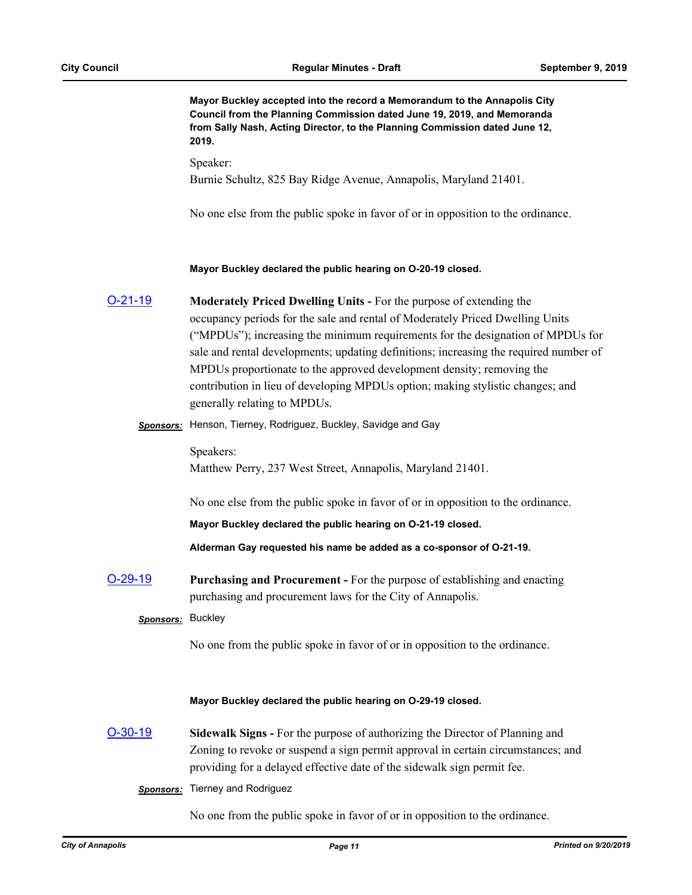**Mayor Buckley accepted into the record a Memorandum to the Annapolis City Council from the Planning Commission dated June 19, 2019, and Memoranda from Sally Nash, Acting Director, to the Planning Commission dated June 12, 2019.**

Speaker: Burnie Schultz, 825 Bay Ridge Avenue, Annapolis, Maryland 21401.

No one else from the public spoke in favor of or in opposition to the ordinance.

#### **Mayor Buckley declared the public hearing on O-20-19 closed.**

- [O-21-19](http://annapolismd.legistar.com/gateway.aspx?m=l&id=/matter.aspx?key=4221) **Moderately Priced Dwelling Units** For the purpose of extending the occupancy periods for the sale and rental of Moderately Priced Dwelling Units ("MPDUs"); increasing the minimum requirements for the designation of MPDUs for sale and rental developments; updating definitions; increasing the required number of MPDUs proportionate to the approved development density; removing the contribution in lieu of developing MPDUs option; making stylistic changes; and generally relating to MPDUs.
	- *Sponsors:* Henson, Tierney, Rodriguez, Buckley, Savidge and Gay

Speakers: Matthew Perry, 237 West Street, Annapolis, Maryland 21401.

No one else from the public spoke in favor of or in opposition to the ordinance.

**Mayor Buckley declared the public hearing on O-21-19 closed.**

**Alderman Gay requested his name be added as a co-sponsor of O-21-19.**

[O-29-19](http://annapolismd.legistar.com/gateway.aspx?m=l&id=/matter.aspx?key=4396) **Purchasing and Procurement -** For the purpose of establishing and enacting purchasing and procurement laws for the City of Annapolis.

#### *Sponsors:* Buckley

No one from the public spoke in favor of or in opposition to the ordinance.

#### **Mayor Buckley declared the public hearing on O-29-19 closed.**

- [O-30-19](http://annapolismd.legistar.com/gateway.aspx?m=l&id=/matter.aspx?key=4403) **Sidewalk Signs** For the purpose of authorizing the Director of Planning and Zoning to revoke or suspend a sign permit approval in certain circumstances; and providing for a delayed effective date of the sidewalk sign permit fee.
	- *Sponsors:* Tierney and Rodriguez

No one from the public spoke in favor of or in opposition to the ordinance.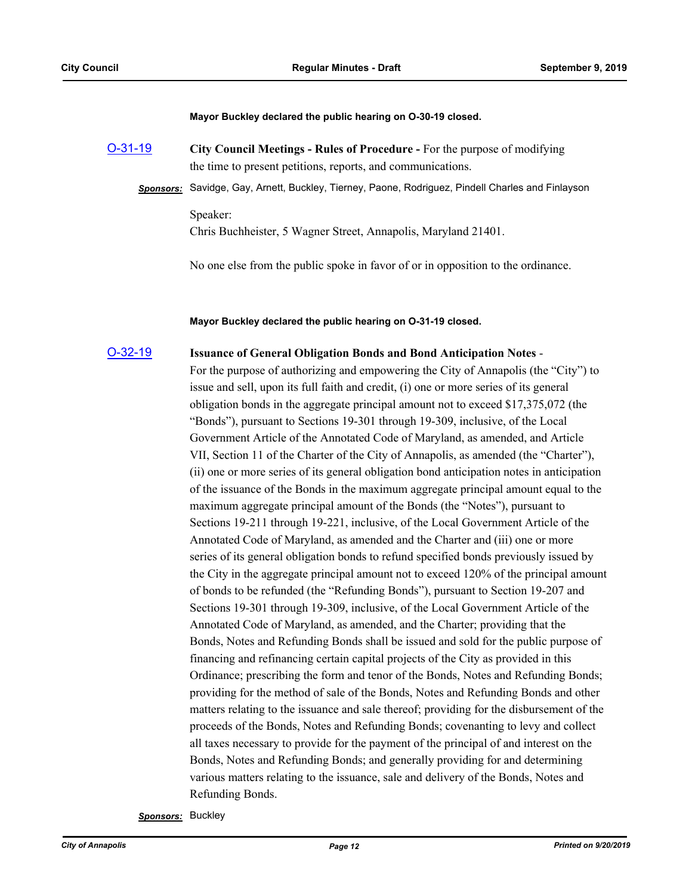**Mayor Buckley declared the public hearing on O-30-19 closed.**

- [O-31-19](http://annapolismd.legistar.com/gateway.aspx?m=l&id=/matter.aspx?key=4406) **City Council Meetings Rules of Procedure** For the purpose of modifying the time to present petitions, reports, and communications.
	- *Sponsors:* Savidge, Gay, Arnett, Buckley, Tierney, Paone, Rodriguez, Pindell Charles and Finlayson Speaker:

Chris Buchheister, 5 Wagner Street, Annapolis, Maryland 21401.

No one else from the public spoke in favor of or in opposition to the ordinance.

**Mayor Buckley declared the public hearing on O-31-19 closed.**

# [O-32-19](http://annapolismd.legistar.com/gateway.aspx?m=l&id=/matter.aspx?key=4410) **Issuance of General Obligation Bonds and Bond Anticipation Notes** -

For the purpose of authorizing and empowering the City of Annapolis (the "City") to issue and sell, upon its full faith and credit, (i) one or more series of its general obligation bonds in the aggregate principal amount not to exceed \$17,375,072 (the "Bonds"), pursuant to Sections 19-301 through 19-309, inclusive, of the Local Government Article of the Annotated Code of Maryland, as amended, and Article VII, Section 11 of the Charter of the City of Annapolis, as amended (the "Charter"), (ii) one or more series of its general obligation bond anticipation notes in anticipation of the issuance of the Bonds in the maximum aggregate principal amount equal to the maximum aggregate principal amount of the Bonds (the "Notes"), pursuant to Sections 19-211 through 19-221, inclusive, of the Local Government Article of the Annotated Code of Maryland, as amended and the Charter and (iii) one or more series of its general obligation bonds to refund specified bonds previously issued by the City in the aggregate principal amount not to exceed 120% of the principal amount of bonds to be refunded (the "Refunding Bonds"), pursuant to Section 19-207 and Sections 19-301 through 19-309, inclusive, of the Local Government Article of the Annotated Code of Maryland, as amended, and the Charter; providing that the Bonds, Notes and Refunding Bonds shall be issued and sold for the public purpose of financing and refinancing certain capital projects of the City as provided in this Ordinance; prescribing the form and tenor of the Bonds, Notes and Refunding Bonds; providing for the method of sale of the Bonds, Notes and Refunding Bonds and other matters relating to the issuance and sale thereof; providing for the disbursement of the proceeds of the Bonds, Notes and Refunding Bonds; covenanting to levy and collect all taxes necessary to provide for the payment of the principal of and interest on the Bonds, Notes and Refunding Bonds; and generally providing for and determining various matters relating to the issuance, sale and delivery of the Bonds, Notes and Refunding Bonds.

*Sponsors:* Buckley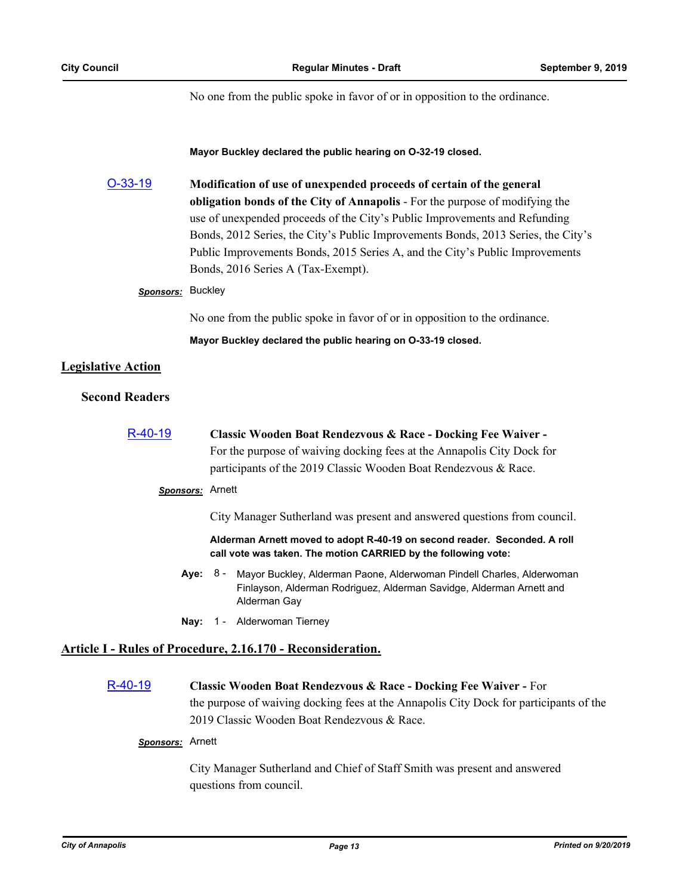No one from the public spoke in favor of or in opposition to the ordinance.

#### **Mayor Buckley declared the public hearing on O-32-19 closed.**

| $O-33-19$                 | Modification of use of unexpended proceeds of certain of the general<br>obligation bonds of the City of Annapolis - For the purpose of modifying the<br>use of unexpended proceeds of the City's Public Improvements and Refunding<br>Bonds, 2012 Series, the City's Public Improvements Bonds, 2013 Series, the City's<br>Public Improvements Bonds, 2015 Series A, and the City's Public Improvements<br>Bonds, 2016 Series A (Tax-Exempt). |  |
|---------------------------|-----------------------------------------------------------------------------------------------------------------------------------------------------------------------------------------------------------------------------------------------------------------------------------------------------------------------------------------------------------------------------------------------------------------------------------------------|--|
| Sponsors: Buckley         |                                                                                                                                                                                                                                                                                                                                                                                                                                               |  |
|                           | No one from the public spoke in favor of or in opposition to the ordinance.                                                                                                                                                                                                                                                                                                                                                                   |  |
|                           | Mayor Buckley declared the public hearing on O-33-19 closed.                                                                                                                                                                                                                                                                                                                                                                                  |  |
| <b>Legislative Action</b> |                                                                                                                                                                                                                                                                                                                                                                                                                                               |  |
| <b>Second Readers</b>     |                                                                                                                                                                                                                                                                                                                                                                                                                                               |  |
| R-40-19                   | Classic Wooden Boat Rendezvous & Race - Docking Fee Waiver -                                                                                                                                                                                                                                                                                                                                                                                  |  |
|                           | For the purpose of waiving docking fees at the Annapolis City Dock for                                                                                                                                                                                                                                                                                                                                                                        |  |
|                           | participants of the 2019 Classic Wooden Boat Rendezvous & Race.                                                                                                                                                                                                                                                                                                                                                                               |  |
|                           | Sponsors: Arnett                                                                                                                                                                                                                                                                                                                                                                                                                              |  |
|                           | City Manager Sutherland was present and answered questions from council.                                                                                                                                                                                                                                                                                                                                                                      |  |
|                           | Alderman Arnett moved to adopt R-40-19 on second reader. Seconded. A roll<br>call vote was taken. The motion CARRIED by the following vote:                                                                                                                                                                                                                                                                                                   |  |
|                           | Aye:<br>8 -<br>Mayor Buckley, Alderman Paone, Alderwoman Pindell Charles, Alderwoman<br>Finlayson, Alderman Rodriguez, Alderman Savidge, Alderman Arnett and<br>Alderman Gay                                                                                                                                                                                                                                                                  |  |
|                           | 1 - Alderwoman Tierney<br>Nav:                                                                                                                                                                                                                                                                                                                                                                                                                |  |
|                           | <b>Article I - Rules of Procedure, 2.16.170 - Reconsideration.</b>                                                                                                                                                                                                                                                                                                                                                                            |  |

[R-40-19](http://annapolismd.legistar.com/gateway.aspx?m=l&id=/matter.aspx?key=4400) **Classic Wooden Boat Rendezvous & Race - Docking Fee Waiver -** For the purpose of waiving docking fees at the Annapolis City Dock for participants of the 2019 Classic Wooden Boat Rendezvous & Race.

# *Sponsors:* Arnett

City Manager Sutherland and Chief of Staff Smith was present and answered questions from council.